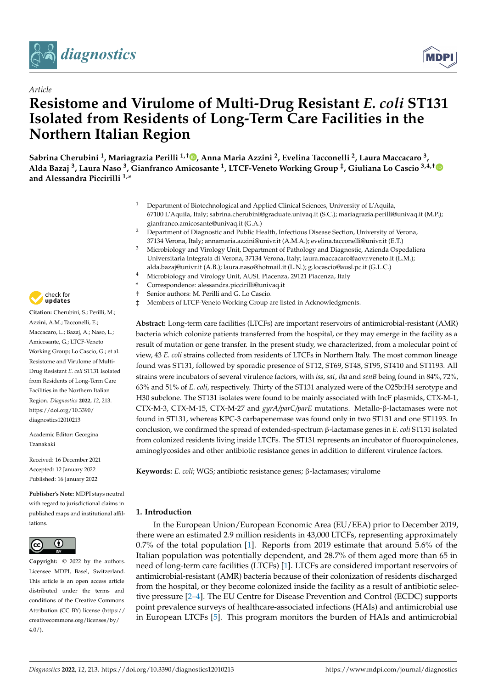



# *Article* **Resistome and Virulome of Multi-Drug Resistant** *E. coli* **ST131 Isolated from Residents of Long-Term Care Facilities in the Northern Italian Region**

**Sabrina Cherubini <sup>1</sup> , Mariagrazia Perilli 1,† [,](https://orcid.org/0000-0001-7370-1455) Anna Maria Azzini <sup>2</sup> , Evelina Tacconelli <sup>2</sup> , Laura Maccacaro <sup>3</sup> , Alda Bazaj <sup>3</sup> , Laura Naso <sup>3</sup> , Gianfranco Amicosante <sup>1</sup> , LTCF-Veneto Working Group ‡ , Giuliana Lo Cascio 3,4,[†](https://orcid.org/0000-0003-3971-2008) and Alessandra Piccirilli 1,\***

- <sup>1</sup> Department of Biotechnological and Applied Clinical Sciences, University of L'Aquila, 67100 L'Aquila, Italy; sabrina.cherubini@graduate.univaq.it (S.C.); mariagrazia.perilli@univaq.it (M.P.); gianfranco.amicosante@univaq.it (G.A.)
- <sup>2</sup> Department of Diagnostic and Public Health, Infectious Disease Section, University of Verona, 37134 Verona, Italy; annamaria.azzini@univr.it (A.M.A.); evelina.tacconelli@univr.it (E.T.)
- <sup>3</sup> Microbiology and Virology Unit, Department of Pathology and Diagnostic, Azienda Ospedaliera Universitaria Integrata di Verona, 37134 Verona, Italy; laura.maccacaro@aovr.veneto.it (L.M.); alda.bazaj@univr.it (A.B.); laura.naso@hotmail.it (L.N.); g.locascio@ausl.pc.it (G.L.C.)
- <sup>4</sup> Microbiology and Virology Unit, AUSL Piacenza, 29121 Piacenza, Italy
- **\*** Correspondence: alessandra.piccirilli@univaq.it
- † Senior authors: M. Perilli and G. Lo Cascio.
- ‡ Members of LTCF-Veneto Working Group are listed in Acknowledgments.

**Abstract:** Long-term care facilities (LTCFs) are important reservoirs of antimicrobial-resistant (AMR) bacteria which colonize patients transferred from the hospital, or they may emerge in the facility as a result of mutation or gene transfer. In the present study, we characterized, from a molecular point of view, 43 *E. coli* strains collected from residents of LTCFs in Northern Italy. The most common lineage found was ST131, followed by sporadic presence of ST12, ST69, ST48, ST95, ST410 and ST1193. All strains were incubators of several virulence factors, with *iss*, *sat*, *iha* and *senB* being found in 84%, 72%, 63% and 51% of *E. coli*, respectively. Thirty of the ST131 analyzed were of the O25b:H4 serotype and H30 subclone. The ST131 isolates were found to be mainly associated with IncF plasmids, CTX-M-1, CTX-M-3, CTX-M-15, CTX-M-27 and *gyrA/parC/parE* mutations. Metallo-β-lactamases were not found in ST131, whereas KPC-3 carbapenemase was found only in two ST131 and one ST1193. In conclusion, we confirmed the spread of extended-spectrum β-lactamase genes in *E. coli* ST131 isolated from colonized residents living inside LTCFs. The ST131 represents an incubator of fluoroquinolones, aminoglycosides and other antibiotic resistance genes in addition to different virulence factors.

**Keywords:** *E. coli*; WGS; antibiotic resistance genes; β-lactamases; virulome

# **1. Introduction**

In the European Union/European Economic Area (EU/EEA) prior to December 2019, there were an estimated 2.9 million residents in 43,000 LTCFs, representing approximately 0.7% of the total population [\[1\]](#page-9-0). Reports from 2019 estimate that around 5.6% of the Italian population was potentially dependent, and 28.7% of them aged more than 65 in need of long-term care facilities (LTCFs) [\[1\]](#page-9-0). LTCFs are considered important reservoirs of antimicrobial-resistant (AMR) bacteria because of their colonization of residents discharged from the hospital, or they become colonized inside the facility as a result of antibiotic selective pressure [\[2–](#page-9-1)[4\]](#page-9-2). The EU Centre for Disease Prevention and Control (ECDC) supports point prevalence surveys of healthcare-associated infections (HAIs) and antimicrobial use in European LTCFs [\[5\]](#page-9-3). This program monitors the burden of HAIs and antimicrobial



**Citation:** Cherubini, S.; Perilli, M.; Azzini, A.M.; Tacconelli, E.; Maccacaro, L.; Bazaj, A.; Naso, L.; Amicosante, G.; LTCF-Veneto Working Group; Lo Cascio, G.; et al. Resistome and Virulome of Multi-Drug Resistant *E. coli* ST131 Isolated from Residents of Long-Term Care Facilities in the Northern Italian Region. *Diagnostics* **2022**, *12*, 213. [https://doi.org/10.3390/](https://doi.org/10.3390/diagnostics12010213) [diagnostics12010213](https://doi.org/10.3390/diagnostics12010213)

Academic Editor: Georgina Tzanakaki

Received: 16 December 2021 Accepted: 12 January 2022 Published: 16 January 2022

**Publisher's Note:** MDPI stays neutral with regard to jurisdictional claims in published maps and institutional affiliations.



**Copyright:** © 2022 by the authors. Licensee MDPI, Basel, Switzerland. This article is an open access article distributed under the terms and conditions of the Creative Commons Attribution (CC BY) license [\(https://](https://creativecommons.org/licenses/by/4.0/) [creativecommons.org/licenses/by/](https://creativecommons.org/licenses/by/4.0/)  $4.0/$ ).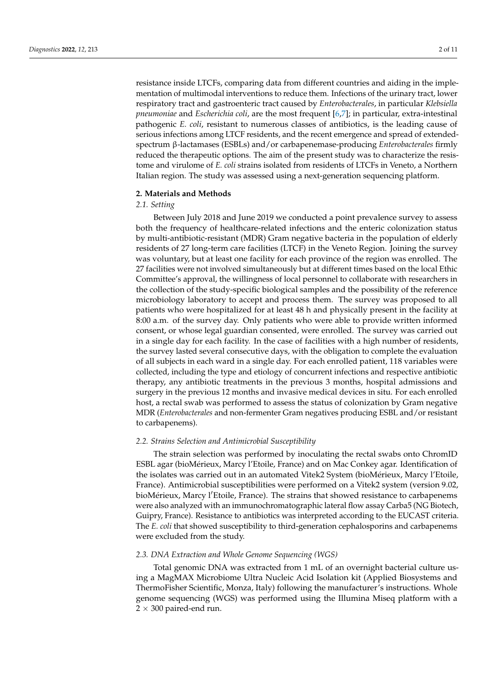resistance inside LTCFs, comparing data from different countries and aiding in the implementation of multimodal interventions to reduce them. Infections of the urinary tract, lower respiratory tract and gastroenteric tract caused by *Enterobacterales*, in particular *Klebsiella pneumoniae* and *Escherichia coli*, are the most frequent [\[6,](#page-9-4)[7\]](#page-9-5); in particular, extra-intestinal pathogenic *E. coli*, resistant to numerous classes of antibiotics, is the leading cause of serious infections among LTCF residents, and the recent emergence and spread of extendedspectrum β-lactamases (ESBLs) and/or carbapenemase-producing *Enterobacterales* firmly reduced the therapeutic options. The aim of the present study was to characterize the resistome and virulome of *E. coli* strains isolated from residents of LTCFs in Veneto, a Northern Italian region. The study was assessed using a next-generation sequencing platform.

## **2. Materials and Methods**

# *2.1. Setting*

Between July 2018 and June 2019 we conducted a point prevalence survey to assess both the frequency of healthcare-related infections and the enteric colonization status by multi-antibiotic-resistant (MDR) Gram negative bacteria in the population of elderly residents of 27 long-term care facilities (LTCF) in the Veneto Region. Joining the survey was voluntary, but at least one facility for each province of the region was enrolled. The 27 facilities were not involved simultaneously but at different times based on the local Ethic Committee's approval, the willingness of local personnel to collaborate with researchers in the collection of the study-specific biological samples and the possibility of the reference microbiology laboratory to accept and process them. The survey was proposed to all patients who were hospitalized for at least 48 h and physically present in the facility at 8:00 a.m. of the survey day. Only patients who were able to provide written informed consent, or whose legal guardian consented, were enrolled. The survey was carried out in a single day for each facility. In the case of facilities with a high number of residents, the survey lasted several consecutive days, with the obligation to complete the evaluation of all subjects in each ward in a single day. For each enrolled patient, 118 variables were collected, including the type and etiology of concurrent infections and respective antibiotic therapy, any antibiotic treatments in the previous 3 months, hospital admissions and surgery in the previous 12 months and invasive medical devices in situ. For each enrolled host, a rectal swab was performed to assess the status of colonization by Gram negative MDR (*Enterobacterales* and non-fermenter Gram negatives producing ESBL and/or resistant to carbapenems).

# *2.2. Strains Selection and Antimicrobial Susceptibility*

The strain selection was performed by inoculating the rectal swabs onto ChromID ESBL agar (bioMérieux, Marcy l'Etoile, France) and on Mac Conkey agar. Identification of the isolates was carried out in an automated Vitek2 System (bioMérieux, Marcy l'Etoile, France). Antimicrobial susceptibilities were performed on a Vitek2 system (version 9.02, bioMérieux, Marcy l'Etoile, France). The strains that showed resistance to carbapenems were also analyzed with an immunochromatographic lateral flow assay Carba5 (NG Biotech, Guipry, France). Resistance to antibiotics was interpreted according to the EUCAST criteria. The *E. coli* that showed susceptibility to third-generation cephalosporins and carbapenems were excluded from the study.

## *2.3. DNA Extraction and Whole Genome Sequencing (WGS)*

Total genomic DNA was extracted from 1 mL of an overnight bacterial culture using a MagMAX Microbiome Ultra Nucleic Acid Isolation kit (Applied Biosystems and ThermoFisher Scientific, Monza, Italy) following the manufacturer's instructions. Whole genome sequencing (WGS) was performed using the Illumina Miseq platform with a  $2 \times 300$  paired-end run.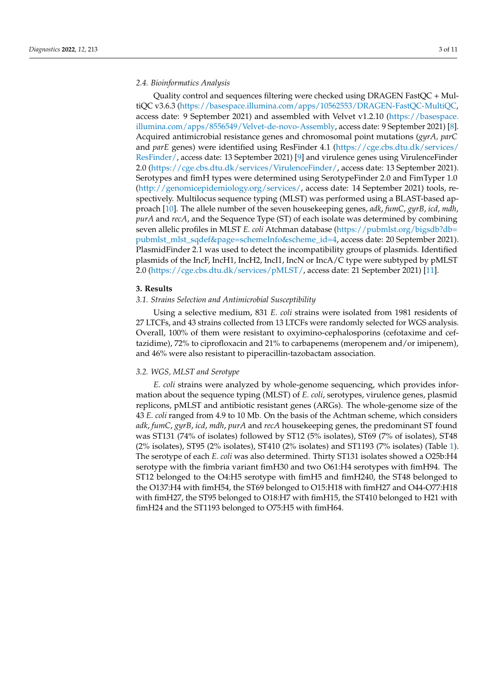# *2.4. Bioinformatics Analysis*

Quality control and sequences filtering were checked using DRAGEN FastQC + MultiQC v3.6.3 [\(https://basespace.illumina.com/apps/10562553/DRAGEN-FastQC-MultiQC,](https://basespace.illumina.com/apps/10562553/DRAGEN-FastQC-MultiQC) access date: 9 September 2021) and assembled with Velvet v1.2.10 [\(https://basespace.](https://basespace.illumina.com/apps/8556549/Velvet-de-novo-Assembly) [illumina.com/apps/8556549/Velvet-de-novo-Assembly,](https://basespace.illumina.com/apps/8556549/Velvet-de-novo-Assembly) access date: 9 September 2021) [\[8\]](#page-10-0). Acquired antimicrobial resistance genes and chromosomal point mutations (*gyrA, parC* and *parE* genes) were identified using ResFinder 4.1 [\(https://cge.cbs.dtu.dk/services/](https://cge.cbs.dtu.dk/services/ResFinder/) [ResFinder/,](https://cge.cbs.dtu.dk/services/ResFinder/) access date: 13 September 2021) [\[9\]](#page-10-1) and virulence genes using VirulenceFinder 2.0 [\(https://cge.cbs.dtu.dk/services/VirulenceFinder/,](https://cge.cbs.dtu.dk/services/VirulenceFinder/) access date: 13 September 2021). Serotypes and fimH types were determined using SerotypeFinder 2.0 and FimTyper 1.0 [\(http://genomicepidemiology.org/services/,](http://genomicepidemiology.org/services/) access date: 14 September 2021) tools, respectively. Multilocus sequence typing (MLST) was performed using a BLAST-based approach [\[10\]](#page-10-2). The allele number of the seven housekeeping genes, *adk*, *fumC*, *gyrB*, *icd*, *mdh*, *purA* and *recA*, and the Sequence Type (ST) of each isolate was determined by combining seven allelic profiles in MLST *E. coli* Atchman database [\(https://pubmlst.org/bigsdb?db=](https://pubmlst.org/bigsdb?db=pubmlst_mlst_sqdef&page=schemeInfo&scheme_id=4) [pubmlst\\_mlst\\_sqdef&page=schemeInfo&scheme\\_id=4,](https://pubmlst.org/bigsdb?db=pubmlst_mlst_sqdef&page=schemeInfo&scheme_id=4) access date: 20 September 2021). PlasmidFinder 2.1 was used to detect the incompatibility groups of plasmids. Identified plasmids of the IncF, IncH1, IncH2, IncI1, IncN or IncA/C type were subtyped by pMLST 2.0 [\(https://cge.cbs.dtu.dk/services/pMLST/,](https://cge.cbs.dtu.dk/services/pMLST/) access date: 21 September 2021) [\[11\]](#page-10-3).

# **3. Results**

# *3.1. Strains Selection and Antimicrobial Susceptibility*

Using a selective medium, 831 *E. coli* strains were isolated from 1981 residents of 27 LTCFs, and 43 strains collected from 13 LTCFs were randomly selected for WGS analysis. Overall, 100% of them were resistant to oxyimino-cephalosporins (cefotaxime and ceftazidime), 72% to ciprofloxacin and 21% to carbapenems (meropenem and/or imipenem), and 46% were also resistant to piperacillin-tazobactam association.

# *3.2. WGS, MLST and Serotype*

*E. coli* strains were analyzed by whole-genome sequencing, which provides information about the sequence typing (MLST) of *E. coli*, serotypes, virulence genes, plasmid replicons, pMLST and antibiotic resistant genes (ARGs). The whole-genome size of the 43 *E. coli* ranged from 4.9 to 10 Mb. On the basis of the Achtman scheme, which considers *adk*, *fumC*, *gyrB*, *icd*, *mdh*, *purA* and *recA* housekeeping genes, the predominant ST found was ST131 (74% of isolates) followed by ST12 (5% isolates), ST69 (7% of isolates), ST48 (2% isolates), ST95 (2% isolates), ST410 (2% isolates) and ST1193 (7% isolates) (Table [1\)](#page-3-0). The serotype of each *E. coli* was also determined. Thirty ST131 isolates showed a O25b:H4 serotype with the fimbria variant fimH30 and two O61:H4 serotypes with fimH94. The ST12 belonged to the O4:H5 serotype with fimH5 and fimH240, the ST48 belonged to the O137:H4 with fimH54, the ST69 belonged to O15:H18 with fimH27 and O44-O77:H18 with fimH27, the ST95 belonged to O18:H7 with fimH15, the ST410 belonged to H21 with fimH24 and the ST1193 belonged to O75:H5 with fimH64.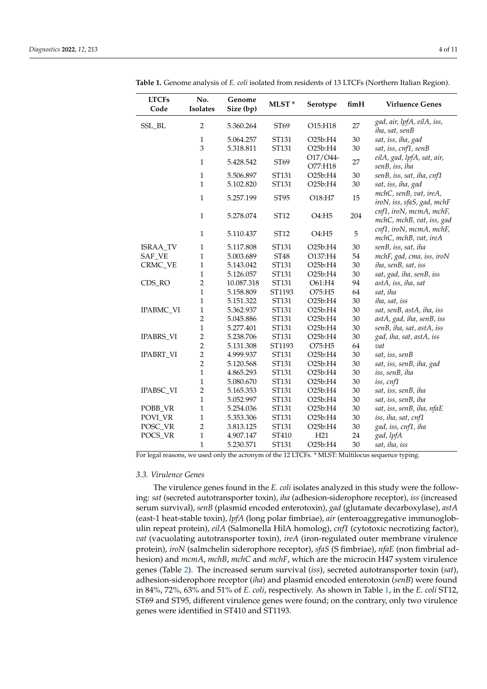| <b>LTCFs</b><br>Code | No.<br><b>Isolates</b> | Genome<br>Size (bp) | MLST*  | Serotype            | fimH   | <b>Virluence Genes</b>                               |
|----------------------|------------------------|---------------------|--------|---------------------|--------|------------------------------------------------------|
| SSL_BL               | $\overline{2}$         | 5.360.264           | ST69   | O15:H18             | 27     | gad, air, lpfA, eilA, iss,<br>iha, sat, senB         |
|                      | $\mathbf{1}$           | 5.064.257           | ST131  | O25b:H4             | 30     | sat, iss, iha, gad                                   |
|                      | 3                      | 5.318.811           | ST131  | O25b:H4             | 30     | sat, iss, cnf1, senB                                 |
|                      | $\mathbf{1}$           | 5.428.542           | ST69   | O17/O44-<br>O77:H18 | 27     | eilA, gad, lpfA, sat, air,<br>senB, iss, iha         |
|                      | $\mathbf{1}$           | 5.506.897           | ST131  | O25b:H4             | 30     | senB, iss, sat, iha, cnf1                            |
|                      | $\overline{1}$         | 5.102.820           | ST131  | O25b:H4             | 30     | sat, iss, iha, gad                                   |
|                      | $\mathbf{1}$           | 5.257.199           | ST95   | O18:H7              | 15     | mchC, senB, vat, ireA,<br>iroN, iss, sfaS, gad, mchF |
|                      | $\mathbf{1}$           | 5.278.074           | ST12   | O4:H5               | 204    | cnf1, iroN, mcmA, mchF,<br>mchC, mchB, vat, iss, gad |
|                      | $\mathbf{1}$           | 5.110.437           | ST12   | O4:H5               | 5      | cnf1, iroN, mcmA, mchF,<br>mchC, mchB, vat, ireA     |
| <b>ISRAA_TV</b>      | $\mathbf{1}$           | 5.117.808           | ST131  | O25b:H4             | 30     | senB, iss, sat, iha                                  |
| SAF_VE               | $\mathbf{1}$           | 5.003.689           | ST48   | O137:H4             | 54     | mchF, gad, cma, iss, iroN                            |
| CRMC_VE              | $\mathbf{1}$           | 5.143.042           | ST131  | O25b:H4             | 30     | iha, senB, sat, iss                                  |
|                      | $\mathbf{1}$           | 5.126.057           | ST131  | O25b:H4             | 30     | sat, gad, iha, senB, iss                             |
| CDS_RO               | $\overline{2}$         | 10.087.318          | ST131  | O61:H4              | 94     | astA, iss, iha, sat                                  |
|                      | $\mathbf{1}$           | 5.158.809           | ST1193 | O75:H5              | 64     | sat, iha                                             |
|                      | $\mathbf{1}$           | 5.151.322           | ST131  | O25b:H4             | 30     | iha, sat, iss                                        |
| IPABMC_VI            | $\mathbf{1}$           | 5.362.937           | ST131  | O25b:H4             | 30     | sat, senB, astA, iha, iss                            |
|                      | $\overline{2}$         | 5.045.886           | ST131  | O25b:H4             | 30     | astA, gad, iha, senB, iss                            |
|                      | $\mathbf{1}$           | 5.277.401           | ST131  | O25b:H4             | 30     | senB, iha, sat, astA, iss                            |
| <b>IPABRS_VI</b>     | $\overline{2}$         | 5.238.706           | ST131  | O25b:H4             | 30     | gad, iha, sat, astA, iss                             |
|                      | $\overline{2}$         | 5.131.308           | ST1193 | O75:H5              | 64     | vat                                                  |
| <b>IPABRT_VI</b>     | $\overline{2}$         | 4.999.937           | ST131  | O25b:H4             | 30     | sat, iss, senB                                       |
|                      | $\overline{2}$         | 5.120.568           | ST131  | O25b:H4             | 30     | sat, iss, senB, iha, gad                             |
|                      | $\mathbf{1}$           | 4.865.293           | ST131  | O25b:H4             | 30     | iss, senB, iha                                       |
|                      | $\mathbf{1}$           | 5.080.670           | ST131  | O25b:H4             | 30     | iss, cnf1                                            |
| IPABSC_VI            | $\overline{c}$         | 5.165.353           | ST131  | O25b:H4             | 30     | sat, iss, senB, iha                                  |
|                      | $\mathbf{1}$           | 5.052.997           | ST131  | O25b:H4             | 30     | sat, iss, senB, iha                                  |
| POBB_VR              | $\mathbf{1}$           | 5.254.036           | ST131  | O25b:H4             | 30     | sat, iss, senB, iha, nfaE                            |
| POVI_VR              | $\mathbf{1}$           | 5.353.306           | ST131  | O25b:H4             | $30\,$ | iss, iha, sat, cnf1                                  |
| POSC_VR              | $\overline{c}$         | 3.813.125           | ST131  | O25b:H4             | 30     | gad, iss, cnf1, iha                                  |
| POCS_VR              | $\mathbf{1}$           | 4.907.147           | ST410  | H21                 | 24     | gad, lpfA                                            |
|                      | $\mathbf{1}$           | 5.230.571           | ST131  | O25b:H4             | 30     | sat, iha, iss                                        |

<span id="page-3-0"></span>**Table 1.** Genome analysis of *E. coli* isolated from residents of 13 LTCFs (Northern Italian Region).

For legal reasons, we used only the acronym of the 12 LTCFs. \* MLST: Multilocus sequence typing.

#### *3.3. Virulence Genes*

The virulence genes found in the *E. coli* isolates analyzed in this study were the following: *sat* (secreted autotransporter toxin), *iha* (adhesion-siderophore receptor), *iss* (increased serum survival), *senB* (plasmid encoded enterotoxin), *gad* (glutamate decarboxylase), *astA* (east-1 heat-stable toxin), *lpfA* (long polar fimbriae), *air* (enteroaggregative immunoglobulin repeat protein), *eilA* (Salmonella HilA homolog), *cnf1* (cytotoxic necrotizing factor), *vat* (vacuolating autotransporter toxin), *ireA* (iron-regulated outer membrane virulence protein), *iroN* (salmchelin siderophore receptor), *sfaS* (S fimbriae), *nfaE* (non fimbrial adhesion) and *mcmA*, *mchB*, *mchC* and *mchF*, which are the microcin H47 system virulence genes (Table [2\)](#page-4-0). The increased serum survival (*iss*), secreted autotransporter toxin (*sat*), adhesion-siderophore receptor (*iha*) and plasmid encoded enterotoxin (*senB*) were found in 84%, 72%, 63% and 51% of *E. coli*, respectively. As shown in Table [1,](#page-3-0) in the *E. coli* ST12, ST69 and ST95, different virulence genes were found; on the contrary, only two virulence genes were identified in ST410 and ST1193.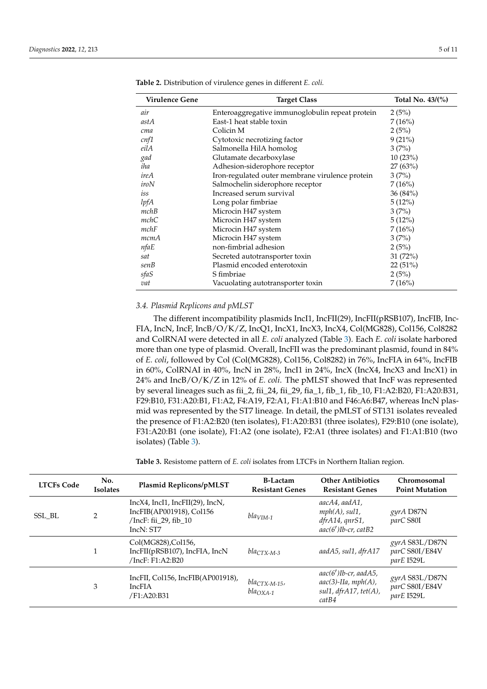| <b>Virulence Gene</b> | <b>Target Class</b>                             | Total No. 43/(%) |
|-----------------------|-------------------------------------------------|------------------|
| air                   | Enteroaggregative immunoglobulin repeat protein | 2(5%)            |
| astA                  | East-1 heat stable toxin                        | 7(16%)           |
| cma                   | Colicin M                                       | 2(5%)            |
| cnf1                  | Cytotoxic necrotizing factor                    | 9(21%)           |
| eilA                  | Salmonella HilA homolog                         | 3(7%)            |
| gad                   | Glutamate decarboxylase                         | 10(23%)          |
| iha                   | Adhesion-siderophore receptor                   | 27(63%)          |
| ireA                  | Iron-regulated outer membrane virulence protein | 3(7%)            |
| iroN                  | Salmochelin siderophore receptor                | 7(16%)           |
| iss                   | Increased serum survival                        | 36(84%)          |
| lpfA                  | Long polar fimbriae                             | 5(12%)           |
| mchB                  | Microcin H47 system                             | 3(7%)            |
| mchC                  | Microcin H47 system                             | 5(12%)           |
| mchF                  | Microcin H47 system                             | 7(16%)           |
| mcmA                  | Microcin H47 system                             | 3(7%)            |
| nfaE                  | non-fimbrial adhesion                           | 2(5%)            |
| sat                   | Secreted autotransporter toxin                  | 31(72%)          |
| senB                  | Plasmid encoded enterotoxin                     | 22(51%)          |
| sfaS                  | S fimbriae                                      | 2(5%)            |
| vat                   | Vacuolating autotransporter toxin               | 7(16%)           |

<span id="page-4-0"></span>**Table 2.** Distribution of virulence genes in different *E. coli.*

# *3.4. Plasmid Replicons and pMLST*

The different incompatibility plasmids IncI1, IncFII(29), IncFII(pRSB107), IncFIB, Inc-FIA, IncN, IncF, IncB/O/K/Z, IncQ1, IncX1, IncX3, IncX4, Col(MG828), Col156, Col8282 and ColRNAI were detected in all *E. coli* analyzed (Table [3\)](#page-7-0). Each *E. coli* isolate harbored more than one type of plasmid. Overall, IncFII was the predominant plasmid, found in 84% of *E. coli*, followed by Col (Col(MG828), Col156, Col8282) in 76%, IncFIA in 64%, IncFIB in 60%, ColRNAI in 40%, IncN in 28%, IncI1 in 24%, IncX (IncX4, IncX3 and IncX1) in 24% and IncB/O/K/Z in 12% of *E. coli*. The pMLST showed that IncF was represented by several lineages such as fii\_2, fii\_24, fii\_29, fia\_1, fib\_1, fib\_10, F1:A2:B20, F1:A20:B31, F29:B10, F31:A20:B1, F1:A2, F4:A19, F2:A1, F1:A1:B10 and F46:A6:B47, whereas IncN plasmid was represented by the ST7 lineage. In detail, the pMLST of ST131 isolates revealed the presence of F1:A2:B20 (ten isolates), F1:A20:B31 (three isolates), F29:B10 (one isolate), F31:A20:B1 (one isolate), F1:A2 (one isolate), F2:A1 (three isolates) and F1:A1:B10 (two isolates) (Table [3\)](#page-7-0).

**Table 3.** Resistome pattern of *E. coli* isolates from LTCFs in Northern Italian region.

| <b>LTCFs Code</b> | No.<br><b>Isolates</b> | Plasmid Replicons/pMLST                                                                                      | <b>B-Lactam</b><br><b>Resistant Genes</b> | <b>Other Antibiotics</b><br><b>Resistant Genes</b>                                          | Chromosomal<br><b>Point Mutation</b>             |
|-------------------|------------------------|--------------------------------------------------------------------------------------------------------------|-------------------------------------------|---------------------------------------------------------------------------------------------|--------------------------------------------------|
| SSL BL            | $\mathfrak{D}$         | $IncX4$ , $IncI1$ , $IncFI(29)$ , $IncN$ ,<br>IncFIB(AP001918), Col156<br>/IncF: fii_29, fib_10<br>IncN: ST7 | $blaVIM-1$                                | aacA4, aadA1,<br>$mph(A)$ , sul1,<br>dfrA14, qnrS1,<br>$aac(6')$ Ib-cr, catB2               | gyrA D87N<br>parC S80I                           |
|                   |                        | Col(MG828), Col 156,<br>IncFII(pRSB107), IncFIA, IncN<br>/IncF: F1:A2:B20                                    | $bla_{CTX-M-3}$                           | aadA5, sul1, dfrA17                                                                         | $gyrA$ S83L/D87N<br>parC S80I/E84V<br>parE I529L |
|                   | 3                      | IncFII, Col156, IncFIB(AP001918),<br><b>IncFIA</b><br>/F1:A20:B31                                            | $bla_{CTX-M-15}$ ,<br>$bla_{OXA-1}$       | $aac(6')$ Ib-cr, aad $A5$ ,<br>$aac(3)$ -IIa, mph $(A)$ ,<br>sul1, dfrA17, tet(A),<br>catB4 | gyrA S83L/D87N<br>parC S80I/E84V<br>parE I529L   |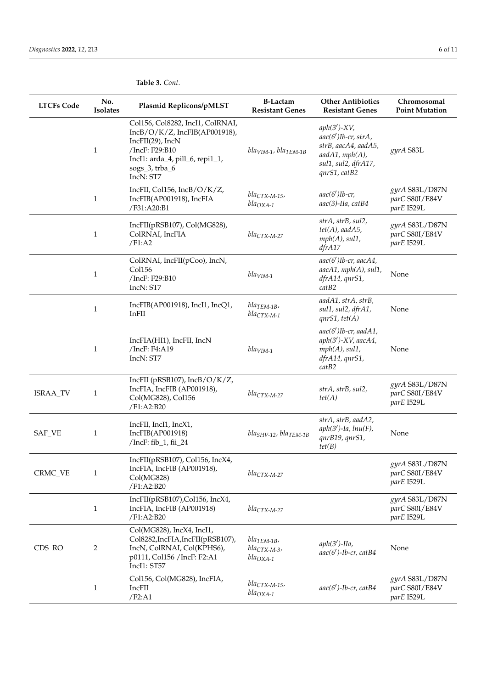| <b>LTCFs Code</b> | No.<br><b>Isolates</b> | Plasmid Replicons/pMLST                                                                                                                                                   | <b>B-Lactam</b><br><b>Resistant Genes</b>          | <b>Other Antibiotics</b><br><b>Resistant Genes</b>                                                                                  | Chromosomal<br><b>Point Mutation</b>           |
|-------------------|------------------------|---------------------------------------------------------------------------------------------------------------------------------------------------------------------------|----------------------------------------------------|-------------------------------------------------------------------------------------------------------------------------------------|------------------------------------------------|
|                   | $\mathbf{1}$           | Col156, Col8282, IncI1, ColRNAI,<br>IncB/O/K/Z, IncFIB(AP001918),<br>IncFII(29), IncN<br>/IncF: F29:B10<br>IncI1: arda_4, pill_6, repi1_1,<br>sogs_3, trba_6<br>IncN: ST7 | $blavIM-1$ , $blaTEM-1B$                           | $aph(3')$ -XV,<br>$aac(6')$ Ib-cr, strA,<br>strB, aacA4, aadA5,<br>$a$ ad $A1$ , mph $(A)$ ,<br>sul1, sul2, dfrA17,<br>qnrS1, catB2 | gyrA S83L                                      |
|                   | $\mathbf{1}$           | IncFII, Col156, IncB/O/K/Z,<br>IncFIB(AP001918), IncFIA<br>/F31:A20:B1                                                                                                    | $bla_{CTX-M-15}$<br>$bla_{OXA-1}$                  | $aac(6')$ Ib-cr,<br>aac(3)-IIa, catB4                                                                                               | gyrA S83L/D87N<br>parC S80I/E84V<br>parE I529L |
|                   | $\mathbf{1}$           | IncFII(pRSB107), Col(MG828),<br>ColRNAI, IncFIA<br>/F1:A2                                                                                                                 | $bla_{CTX-M-27}$                                   | strA, strB, sul2,<br>$tet(A)$ , aad $A5$ ,<br>$mph(A)$ , sul1,<br>dfrA17                                                            | gyrA S83L/D87N<br>parC S80I/E84V<br>parE I529L |
|                   | $\mathbf{1}$           | ColRNAI, IncFII(pCoo), IncN,<br>Col156<br>/IncF: F29:B10<br>IncN: ST7                                                                                                     | $blaVIM-1$                                         | $aac(6')$ Ib-cr, aacA4,<br>aacA1, mph(A), sul1,<br>dfrA14, qnrS1,<br>catB2                                                          | None                                           |
|                   | 1                      | IncFIB(AP001918), IncI1, IncQ1,<br>$In$ $FII$                                                                                                                             | $bla_{TEM-1B}$<br>$bla_{CTX-M-1}$                  | aadA1, strA, strB,<br>sul1, sul2, dfrA1,<br>$qnrS1, \text{tet}(A)$                                                                  | None                                           |
|                   | $\mathbf{1}$           | IncFIA(HI1), IncFII, IncN<br>/IncF: F4:A19<br>IncN: ST7                                                                                                                   | $blaVIM-1$                                         | $aac(6')$ Ib-cr, aadA1,<br>$aph(3')$ -XV, aac $A4$ ,<br>$mph(A)$ , sul1,<br>dfrA14, qnrS1,<br>catB2                                 | None                                           |
| ISRAA_TV          | 1                      | IncFII (pRSB107), IncB/O/K/Z,<br>IncFIA, IncFIB (AP001918),<br>Col(MG828), Col156<br>/F1:A2:B20                                                                           | $bla_{CTX-M-27}$                                   | strA, strB, sul2,<br>tet(A)                                                                                                         | gyrA S83L/D87N<br>parC S80I/E84V<br>parE I529L |
| SAF_VE            | $\mathbf{1}$           | IncFII, IncI1, IncX1,<br>IncFIB(AP001918)<br>/IncF: fib_1, fii_24                                                                                                         | $blaSHV-12$ , $blaTEM-1B$                          | strA, strB, aadA2,<br>$aph(3')$ -Ia, $lnu(F)$ ,<br>qnrB19, qnrS1,<br>tet(B)                                                         | None                                           |
| CRMC_VE           | $\mathbf{1}$           | IncFII(pRSB107), Col156, IncX4,<br>IncFIA, IncFIB (AP001918),<br>Col(MG828)<br>/F1:A2:B20                                                                                 | $bla_{CTX-M-27}$                                   |                                                                                                                                     | gyrA S83L/D87N<br>parC S80I/E84V<br>parE I529L |
|                   | $\mathbf{1}$           | IncFII(pRSB107), Col156, IncX4,<br>IncFIA, IncFIB (AP001918)<br>/F1:A2:B20                                                                                                | $bla_{CTX-M-27}$                                   |                                                                                                                                     | gyrA S83L/D87N<br>parC S80I/E84V<br>parE I529L |
| CDS_RO            | 2                      | Col(MG828), IncX4, IncI1,<br>Col8282, IncFIA, IncFII(pRSB107),<br>IncN, ColRNAI, Col(KPHS6),<br>p0111, Col156 /IncF: F2:A1<br>IncI1: ST57                                 | $bla_{TEM-1B}$<br>$bla_{CTX-M-3}$<br>$bla_{OXA-1}$ | $aph(3')$ -IIa,<br>$aac(6')$ -Ib-cr, catB4                                                                                          | None                                           |
|                   | $\mathbf{1}$           | Col156, Col(MG828), IncFIA,<br>IncFII<br>/F2: A1                                                                                                                          | $bla_{CTX-M-15}$<br>$bla_{OXA-1}$                  | $aac(6')$ -Ib-cr, catB4                                                                                                             | gyrA S83L/D87N<br>parC S80I/E84V<br>parE I529L |

# **Table 3.** *Cont.*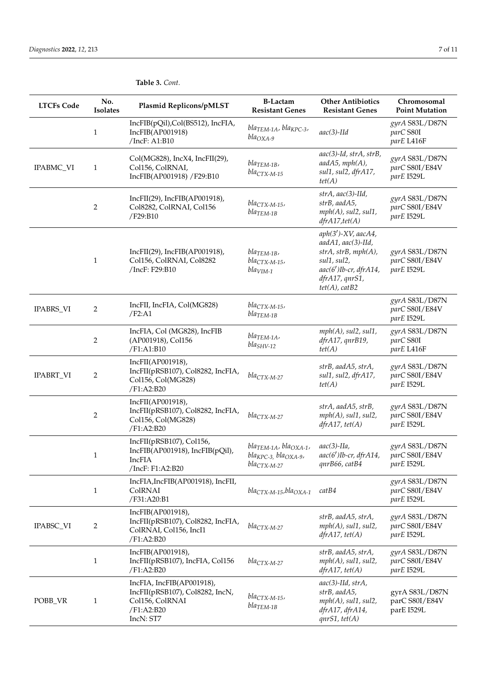| <b>LTCFs Code</b> | No.<br><b>Isolates</b> | Plasmid Replicons/pMLST                                                                                    | <b>B-Lactam</b><br><b>Resistant Genes</b>                                                      | <b>Other Antibiotics</b><br><b>Resistant Genes</b>                                                                                                            | Chromosomal<br><b>Point Mutation</b>           |  |
|-------------------|------------------------|------------------------------------------------------------------------------------------------------------|------------------------------------------------------------------------------------------------|---------------------------------------------------------------------------------------------------------------------------------------------------------------|------------------------------------------------|--|
|                   | $\mathbf{1}$           | IncFIB(pQil),Col(BS512), IncFIA,<br>IncFIB(AP001918)<br>/IncF: A1:B10                                      | $blaTEM-1A$ , $blaKPC-3$ ,<br>$bla_{OXA-9}$                                                    | $aac(3)-Hd$                                                                                                                                                   | gyrA S83L/D87N<br>parC S80I<br>parE L416F      |  |
| IPABMC_VI         | $\mathbf{1}$           | Col(MG828), IncX4, IncFII(29),<br>Col156, ColRNAI,<br>IncFIB(AP001918) /F29:B10                            | $bla$ TEM-1B,<br>$bla_{CTX-M-15}$                                                              | aac(3)-Id, strA, strB,<br>$aadA5$ , $mph(A)$ ,<br>sul1, sul2, dfrA17,<br>tet(A)                                                                               | gyrA S83L/D87N<br>parC S80I/E84V<br>parE I529L |  |
|                   | 2                      | IncFII(29), IncFIB(AP001918),<br>Col8282, ColRNAI, Col156<br>/F29:B10                                      | $bla_{CTX-M-15}$<br>$bla$ TEM-1B                                                               | $strA,$ aac(3)-IId,<br>strB, aadA5,<br>$mph(A)$ , sul $2$ , sul $1$ ,<br>$dfrA17, \text{tet}(A)$                                                              | gyrA S83L/D87N<br>parC S80I/E84V<br>parE I529L |  |
|                   | $\mathbf{1}$           | IncFII(29), IncFIB(AP001918),<br>Col156, ColRNAI, Col8282<br>/IncF: F29:B10                                | $bla_{TEM-1B}$<br>$bla_{CTX-M-15}$<br>$blavIM-1$                                               | $aph(3')$ -XV, aac $A4$ ,<br>aadA1, aac(3)-IId,<br>strA, strB, mph(A),<br>sul1, sul2,<br>$aac(6')$ Ib-cr, dfr $A14$ ,<br>dfrA17, qnrS1,<br>$tet(A)$ , $catB2$ | gyrA S83L/D87N<br>parC S80I/E84V<br>parE I529L |  |
| <b>IPABRS_VI</b>  | 2                      | IncFII, IncFIA, Col(MG828)<br>/F2: A1                                                                      | $bla_{CTX-M-15}$<br>$bla_{TEM-1B}$                                                             |                                                                                                                                                               | gyrA S83L/D87N<br>parC S80I/E84V<br>parE I529L |  |
|                   | 2                      | IncFIA, Col (MG828), IncFIB<br>(AP001918), Col156<br>/F1:A1:B10                                            | $bla_{TEM-1A}$<br>$blaSHV-12$                                                                  | $mph(A)$ , sul $2$ , sul $1$ ,<br>dfrA17, qnrB19,<br>tet(A)                                                                                                   | gyrA S83L/D87N<br>parC S80I<br>parE L416F      |  |
| <b>IPABRT_VI</b>  | 2                      | IncFII(AP001918),<br>IncFII(pRSB107), Col8282, IncFIA,<br>Col156, Col(MG828)<br>/F1:A2:B20                 | $bla_{CTX-M-27}$                                                                               | strB, aadA5, strA,<br>sul1, sul2, dfrA17,<br>tet(A)                                                                                                           | gyrA S83L/D87N<br>parC S80I/E84V<br>parE I529L |  |
|                   | 2                      | IncFII(AP001918),<br>IncFII(pRSB107), Col8282, IncFIA,<br>Col156, Col(MG828)<br>/F1:A2:B20                 | $bla_{CTX-M-27}$                                                                               | strA, aadA5, strB,<br>$mph(A)$ , sul1, sul2,<br>$dfrA17, \text{tet}(A)$                                                                                       | gyrA S83L/D87N<br>parC S80I/E84V<br>parE I529L |  |
|                   | $\mathbf{1}$           | IncFII(pRSB107), Col156,<br>IncFIB(AP001918), IncFIB(pQil),<br>IncFIA<br>/IncF: F1:A2:B20                  | $bla_{TEM-1A}$ , bla <sub>OXA-1</sub> ,<br>$bla_{KPC-3}$ , $bla_{OXA-9}$ ,<br>$bla_{CTX-M-27}$ | $aac(3)$ -IIa,<br>$aac(6')$ Ib-cr, dfr $A14$ ,<br>qnrB66, catB4                                                                                               | gyrA S83L/D87N<br>parC S80I/E84V<br>parE I529L |  |
|                   | $\mathbf{1}$           | IncFIA, IncFIB(AP001918), IncFII,<br>ColRNAI<br>/F31:A20:B1                                                | $bla_{CTX-M-15}$ , bla <sub>OXA-1</sub>                                                        | catB4                                                                                                                                                         | gyrA S83L/D87N<br>parC S80I/E84V<br>parE I529L |  |
| IPABSC_VI         | 2                      | IncFIB(AP001918),<br>IncFII(pRSB107), Col8282, IncFIA,<br>ColRNAI, Col156, IncI1<br>/F1:A2:B20             | $bla_{CTX-M-27}$                                                                               | strB, aadA5, strA,<br>$mph(A)$ , sul1, sul2,<br>$dfrA17, \text{tet}(A)$                                                                                       | gyrA S83L/D87N<br>parC S80I/E84V<br>parE I529L |  |
|                   | $\mathbf{1}$           | IncFIB(AP001918),<br>IncFII(pRSB107), IncFIA, Col156<br>/F1:A2:B20                                         | $bla_{CTX-M-27}$                                                                               | strB, aadA5, strA,<br>$mph(A)$ , sul1, sul2,<br>$dfrA17, \text{tet}(A)$                                                                                       | gyrA S83L/D87N<br>parC S80I/E84V<br>parE I529L |  |
| POBB_VR           | $\mathbf{1}$           | IncFIA, IncFIB(AP001918),<br>IncFII(pRSB107), Col8282, IncN,<br>Col156, ColRNAI<br>/F1:A2:B20<br>IncN: ST7 | $bla_{CTX-M-15}$<br>$bla$ TEM-1B                                                               | $aac(3)-Hd, strA,$<br>strB, aadA5,<br>$mph(A)$ , sul1, sul2,<br>dfrA17, dfrA14,<br>$qnrS1, \text{tet}(A)$                                                     | gyrA S83L/D87N<br>parC S80I/E84V<br>parE I529L |  |

# **Table 3.** *Cont.*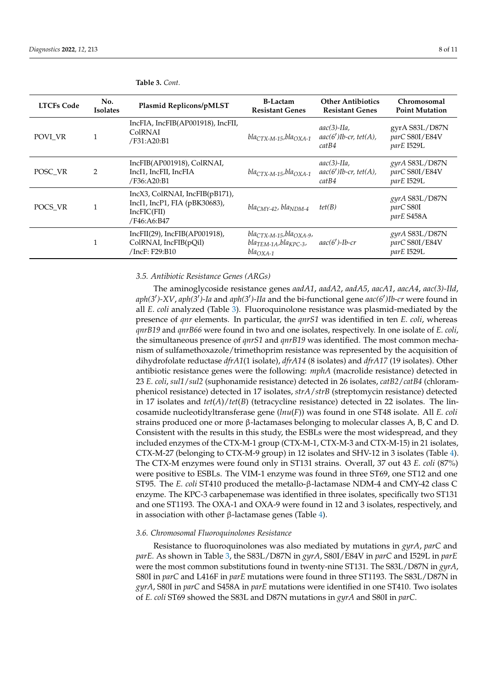| <b>LTCFs Code</b> | No.<br><b>Isolates</b> | <b>Plasmid Replicons/pMLST</b>                                                                | <b>B-Lactam</b><br><b>Resistant Genes</b>                                                      | <b>Other Antibiotics</b><br><b>Resistant Genes</b>      | Chromosomal<br><b>Point Mutation</b>           |
|-------------------|------------------------|-----------------------------------------------------------------------------------------------|------------------------------------------------------------------------------------------------|---------------------------------------------------------|------------------------------------------------|
| POVI VR           |                        | IncFIA, IncFIB(AP001918), IncFII,<br>ColRNAI<br>/F31:A20:B1                                   | $bla_{CTX-M-15}$ , bla $O_{NA-1}$                                                              | $aac(3)$ -IIa,<br>$aac(6')$ Ib-cr, tet $(A)$ ,<br>catB4 | gyrA S83L/D87N<br>parC S80I/E84V<br>parE I529L |
| POSC_VR           | 2                      | IncFIB(AP001918), ColRNAI,<br>IncI1, IncFII, IncFIA<br>/F36:A20:B1                            | $bla_{CTX-M-15}$ , bla <sub>OXA-1</sub>                                                        | $aac(3)$ -IIa,<br>$aac(6')$ Ib-cr, tet $(A)$ ,<br>catB4 | gyrA S83L/D87N<br>parC S80I/E84V<br>parE I529L |
| POCS VR           |                        | IncX3, ColRNAI, IncFIB(pB171),<br>IncI1, IncP1, FIA (pBK30683),<br>IncFIC(FII)<br>/F46:A6:B47 | $bla_{CMY-42}$ , bla <sub>NDM-4</sub>                                                          | tet(B)                                                  | gyrA S83L/D87N<br>parC S80I<br>parE S458A      |
|                   | $\mathbf{1}$           | IncFII(29), IncFIB(AP001918),<br>ColRNAI, IncFIB(pQil)<br>/IncF: F29:B10                      | $bla_{CTX-M-15}$ , bla <sub>OXA-9</sub> ,<br>$bla_{TEM-1A}$ , $bla_{KPC-3}$ ,<br>$bla_{OXA-1}$ | $aac(6')$ -Ib-cr                                        | gyrA S83L/D87N<br>parC S80I/E84V<br>parE I529L |

#### <span id="page-7-0"></span>**Table 3.** *Cont.*

# *3.5. Antibiotic Resistance Genes (ARGs)*

The aminoglycoside resistance genes *aadA1*, *aadA2*, *aadA5*, *aacA1*, *aacA4*, *aac(3)-IId*, aph(3')-XV, *aph*(3')-Ia and *aph*(3')-IIa and the bi-functional gene *aac*(6')Ib-cr were found in all *E. coli* analyzed (Table [3\)](#page-7-0). Fluoroquinolone resistance was plasmid-mediated by the presence of *qnr* elements. In particular, the *qnrS1* was identified in ten *E. coli*, whereas *qnrB19* and *qnrB66* were found in two and one isolates, respectively. In one isolate of *E. coli*, the simultaneous presence of *qnrS1* and *qnrB19* was identified. The most common mechanism of sulfamethoxazole/trimethoprim resistance was represented by the acquisition of dihydrofolate reductase *dfrA1*(1 isolate), *dfrA14* (8 isolates) and *dfrA17* (19 isolates). Other antibiotic resistance genes were the following: *mphA* (macrolide resistance) detected in 23 *E. coli*, *sul1*/*sul2* (suphonamide resistance) detected in 26 isolates, *catB2*/*catB4* (chloramphenicol resistance) detected in 17 isolates, *strA*/*strB* (streptomycin resistance) detected in 17 isolates and  $tet(A)/tet(B)$  (tetracycline resistance) detected in 22 isolates. The lincosamide nucleotidyltransferase gene (*lnu*(*F*)) was found in one ST48 isolate. All *E. coli* strains produced one or more β-lactamases belonging to molecular classes A, B, C and D. Consistent with the results in this study, the ESBLs were the most widespread, and they included enzymes of the CTX-M-1 group (CTX-M-1, CTX-M-3 and CTX-M-15) in 21 isolates, CTX-M-27 (belonging to CTX-M-9 group) in 12 isolates and SHV-12 in 3 isolates (Table [4\)](#page-8-0). The CTX-M enzymes were found only in ST131 strains. Overall, 37 out 43 *E. coli* (87%) were positive to ESBLs. The VIM-1 enzyme was found in three ST69, one ST12 and one ST95. The *E. coli* ST410 produced the metallo-β-lactamase NDM-4 and CMY-42 class C enzyme. The KPC-3 carbapenemase was identified in three isolates, specifically two ST131 and one ST1193. The OXA-1 and OXA-9 were found in 12 and 3 isolates, respectively, and in association with other β-lactamase genes (Table [4\)](#page-8-0).

# *3.6. Chromosomal Fluoroquinolones Resistance*

Resistance to fluoroquinolones was also mediated by mutations in *gyrA*, *parC* and *parE.* As shown in Table [3,](#page-7-0) the S83L/D87N in *gyrA*, S80I/E84V in *parC* and I529L in *parE* were the most common substitutions found in twenty-nine ST131. The S83L/D87N in *gyrA*, S80I in *parC* and L416F in *parE* mutations were found in three ST1193. The S83L/D87N in *gyrA*, S80I in *parC* and S458A in *parE* mutations were identified in one ST410. Two isolates of *E. coli* ST69 showed the S83L and D87N mutations in *gyrA* and S80I in *parC*.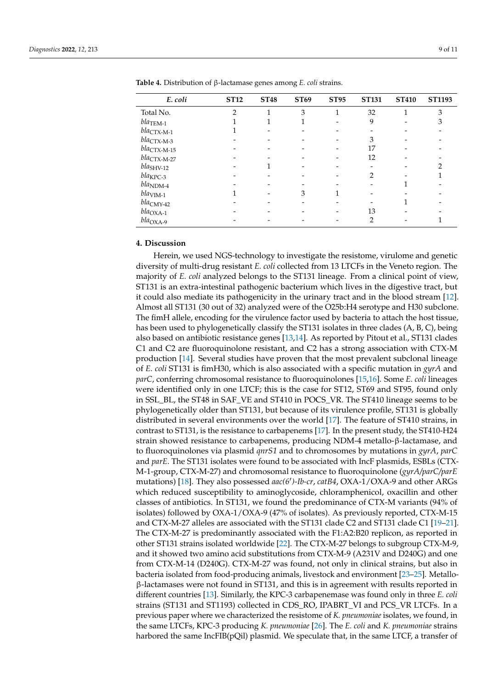| E. coli                   | <b>ST12</b>    | <b>ST48</b> | <b>ST69</b> | <b>ST95</b> | <b>ST131</b>   | <b>ST410</b> | <b>ST1193</b> |
|---------------------------|----------------|-------------|-------------|-------------|----------------|--------------|---------------|
| Total No.                 | $\overline{2}$ | 1           | 3           | 1           | 32             | 1            | 3             |
| $bla$ TEM-1               |                |             |             |             | 9              |              | 3             |
| $bla_{\text{CTX-M-1}}$    |                |             |             |             |                |              |               |
| $bla_{\text{CTX-M-3}}$    |                |             |             |             | 3              |              |               |
| $bla_{\text{CTX-M-15}}$   |                |             |             |             | 17             |              |               |
| $bla_{\text{CTX-M-27}}$   |                |             |             |             | 12             |              |               |
| $blas_{\rm HV\text{-}12}$ |                |             |             |             |                |              | ∍             |
| $bla_{\rm KPC-3}$         |                |             |             |             | $\overline{2}$ |              |               |
| $bla_{\rm NDM\text{-}4}$  |                |             |             |             |                |              |               |
| $bla_{\rm VIM\text{-}1}$  |                |             | 3           |             |                |              |               |
| $bla_{\text{CMY-42}}$     |                |             |             |             |                |              |               |
| $bla_{\rm OXA\text{-}1}$  |                |             |             |             | 13             |              |               |
| $bla_{\rm OXA-9}$         |                |             |             |             | 2              |              |               |

<span id="page-8-0"></span>**Table 4.** Distribution of β-lactamase genes among *E. coli* strains.

## **4. Discussion**

Herein, we used NGS-technology to investigate the resistome, virulome and genetic diversity of multi-drug resistant *E. coli* collected from 13 LTCFs in the Veneto region. The majority of *E. coli* analyzed belongs to the ST131 lineage. From a clinical point of view, ST131 is an extra-intestinal pathogenic bacterium which lives in the digestive tract, but it could also mediate its pathogenicity in the urinary tract and in the blood stream [\[12\]](#page-10-4). Almost all ST131 (30 out of 32) analyzed were of the O25b:H4 serotype and H30 subclone. The fimH allele, encoding for the virulence factor used by bacteria to attach the host tissue, has been used to phylogenetically classify the ST131 isolates in three clades (A, B, C), being also based on antibiotic resistance genes [\[13,](#page-10-5)[14\]](#page-10-6). As reported by Pitout et al., ST131 clades C1 and C2 are fluoroquinolone resistant, and C2 has a strong association with CTX-M production [\[14\]](#page-10-6). Several studies have proven that the most prevalent subclonal lineage of *E. coli* ST131 is fimH30, which is also associated with a specific mutation in *gyrA* and *parC*, conferring chromosomal resistance to fluoroquinolones [\[15](#page-10-7)[,16\]](#page-10-8). Some *E. coli* lineages were identified only in one LTCF; this is the case for ST12, ST69 and ST95, found only in SSL\_BL, the ST48 in SAF\_VE and ST410 in POCS\_VR. The ST410 lineage seems to be phylogenetically older than ST131, but because of its virulence profile, ST131 is globally distributed in several environments over the world [\[17\]](#page-10-9). The feature of ST410 strains, in contrast to ST131, is the resistance to carbapenems [\[17\]](#page-10-9). In the present study, the ST410-H24 strain showed resistance to carbapenems, producing NDM-4 metallo-β-lactamase, and to fluoroquinolones via plasmid *qnrS1* and to chromosomes by mutations in *gyrA*, *parC* and *parE*. The ST131 isolates were found to be associated with IncF plasmids, ESBLs (CTX-M-1-group, CTX-M-27) and chromosomal resistance to fluoroquinolone (*gyrA/parC/parE* mutations) [\[18\]](#page-10-10). They also possessed *aac*(6')-Ib-cr, catB4, OXA-1/OXA-9 and other ARGs which reduced susceptibility to aminoglycoside, chloramphenicol, oxacillin and other classes of antibiotics. In ST131, we found the predominance of CTX-M variants (94% of isolates) followed by OXA-1/OXA-9 (47% of isolates). As previously reported, CTX-M-15 and CTX-M-27 alleles are associated with the ST131 clade C2 and ST131 clade C1 [\[19](#page-10-11)[–21\]](#page-10-12). The CTX-M-27 is predominantly associated with the F1:A2:B20 replicon, as reported in other ST131 strains isolated worldwide [\[22\]](#page-10-13). The CTX-M-27 belongs to subgroup CTX-M-9, and it showed two amino acid substitutions from CTX-M-9 (A231V and D240G) and one from CTX-M-14 (D240G). CTX-M-27 was found, not only in clinical strains, but also in bacteria isolated from food-producing animals, livestock and environment [\[23](#page-10-14)[–25\]](#page-10-15). Metalloβ-lactamases were not found in ST131, and this is in agreement with results reported in different countries [\[13\]](#page-10-5). Similarly, the KPC-3 carbapenemase was found only in three *E. coli* strains (ST131 and ST1193) collected in CDS\_RO, IPABRT\_VI and PCS\_VR LTCFs. In a previous paper where we characterized the resistome of *K. pneumoniae* isolates, we found, in the same LTCFs, KPC-3 producing *K. pneumoniae* [\[26\]](#page-10-16). The *E. coli* and *K. pneumoniae* strains harbored the same IncFIB(pQil) plasmid. We speculate that, in the same LTCF, a transfer of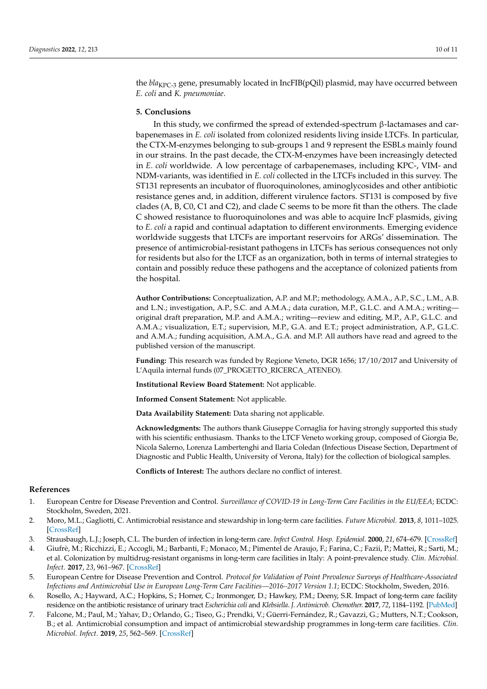the *bla<sub>KPC-3</sub>* gene, presumably located in IncFIB(pQil) plasmid, may have occurred between *E. coli* and *K. pneumoniae*.

## **5. Conclusions**

In this study, we confirmed the spread of extended-spectrum β-lactamases and carbapenemases in *E. coli* isolated from colonized residents living inside LTCFs. In particular, the CTX-M-enzymes belonging to sub-groups 1 and 9 represent the ESBLs mainly found in our strains. In the past decade, the CTX-M-enzymes have been increasingly detected in *E. coli* worldwide. A low percentage of carbapenemases, including KPC-, VIM- and NDM-variants, was identified in *E. coli* collected in the LTCFs included in this survey. The ST131 represents an incubator of fluoroquinolones, aminoglycosides and other antibiotic resistance genes and, in addition, different virulence factors. ST131 is composed by five clades (A, B, C0, C1 and C2), and clade C seems to be more fit than the others. The clade C showed resistance to fluoroquinolones and was able to acquire IncF plasmids, giving to *E. coli* a rapid and continual adaptation to different environments. Emerging evidence worldwide suggests that LTCFs are important reservoirs for ARGs' dissemination. The presence of antimicrobial-resistant pathogens in LTCFs has serious consequences not only for residents but also for the LTCF as an organization, both in terms of internal strategies to contain and possibly reduce these pathogens and the acceptance of colonized patients from the hospital.

**Author Contributions:** Conceptualization, A.P. and M.P.; methodology, A.M.A., A.P., S.C., L.M., A.B. and L.N.; investigation, A.P., S.C. and A.M.A.; data curation, M.P., G.L.C. and A.M.A.; writing original draft preparation, M.P. and A.M.A.; writing—review and editing, M.P., A.P., G.L.C. and A.M.A.; visualization, E.T.; supervision, M.P., G.A. and E.T.; project administration, A.P., G.L.C. and A.M.A.; funding acquisition, A.M.A., G.A. and M.P. All authors have read and agreed to the published version of the manuscript.

**Funding:** This research was funded by Regione Veneto, DGR 1656; 17/10/2017 and University of L'Aquila internal funds (07\_PROGETTO\_RICERCA\_ATENEO).

**Institutional Review Board Statement:** Not applicable.

**Informed Consent Statement:** Not applicable.

**Data Availability Statement:** Data sharing not applicable.

**Acknowledgments:** The authors thank Giuseppe Cornaglia for having strongly supported this study with his scientific enthusiasm. Thanks to the LTCF Veneto working group, composed of Giorgia Be, Nicola Salerno, Lorenza Lambertenghi and Ilaria Coledan (Infectious Disease Section, Department of Diagnostic and Public Health, University of Verona, Italy) for the collection of biological samples.

**Conflicts of Interest:** The authors declare no conflict of interest.

# **References**

- <span id="page-9-0"></span>1. European Centre for Disease Prevention and Control. *Surveillance of COVID-19 in Long-Term Care Facilities in the EU/EEA*; ECDC: Stockholm, Sweden, 2021.
- <span id="page-9-1"></span>2. Moro, M.L.; Gagliotti, C. Antimicrobial resistance and stewardship in long-term care facilities. *Future Microbiol.* **2013**, *8*, 1011–1025. [\[CrossRef\]](http://doi.org/10.2217/fmb.13.75)
- 3. Strausbaugh, L.J.; Joseph, C.L. The burden of infection in long-term care. *Infect Control. Hosp. Epidemiol.* **2000**, *21*, 674–679. [\[CrossRef\]](http://doi.org/10.1086/501712)
- <span id="page-9-2"></span>4. Giufrè, M.; Ricchizzi, E.; Accogli, M.; Barbanti, F.; Monaco, M.; Pimentel de Araujo, F.; Farina, C.; Fazii, P.; Mattei, R.; Sarti, M.; et al. Colonization by multidrug-resistant organisms in long-term care facilities in Italy: A point-prevalence study. *Clin. Microbiol. Infect.* **2017**, *23*, 961–967. [\[CrossRef\]](http://doi.org/10.1016/j.cmi.2017.04.006)
- <span id="page-9-3"></span>5. European Centre for Disease Prevention and Control. *Protocol for Validation of Point Prevalence Surveys of Healthcare-Associated Infections and Antimicrobial Use in European Long-Term Care Facilities—2016–2017 Version 1.1*; ECDC: Stockholm, Sweden, 2016.
- <span id="page-9-4"></span>6. Rosello, A.; Hayward, A.C.; Hopkins, S.; Horner, C.; Ironmonger, D.; Hawkey, P.M.; Deeny, S.R. Impact of long-term care facility residence on the antibiotic resistance of urinary tract *Escherichia coli* and *Klebsiella*. *J. Antimicrob. Chemother.* **2017**, *72*, 1184–1192. [\[PubMed\]](http://www.ncbi.nlm.nih.gov/pubmed/28077671)
- <span id="page-9-5"></span>7. Falcone, M.; Paul, M.; Yahav, D.; Orlando, G.; Tiseo, G.; Prendki, V.; Güerri-Fernández, R.; Gavazzi, G.; Mutters, N.T.; Cookson, B.; et al. Antimicrobial consumption and impact of antimicrobial stewardship programmes in long-term care facilities. *Clin. Microbiol. Infect.* **2019**, *25*, 562–569. [\[CrossRef\]](http://doi.org/10.1016/j.cmi.2018.07.028)